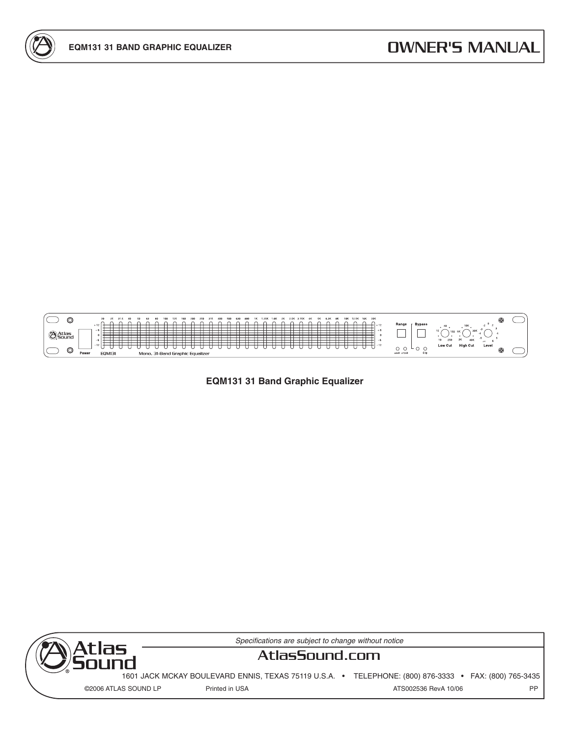

**EQM131 31 Band Graphic Equalizer**



Specifications are subject to change without notice

# **AtlasSound.com**

1601 JACK MCKAY BOULEVARD ENNIS, TEXAS 75119 U.S.A. • TELEPHONE: (800) 876-3333 • FAX: (800) 765-3435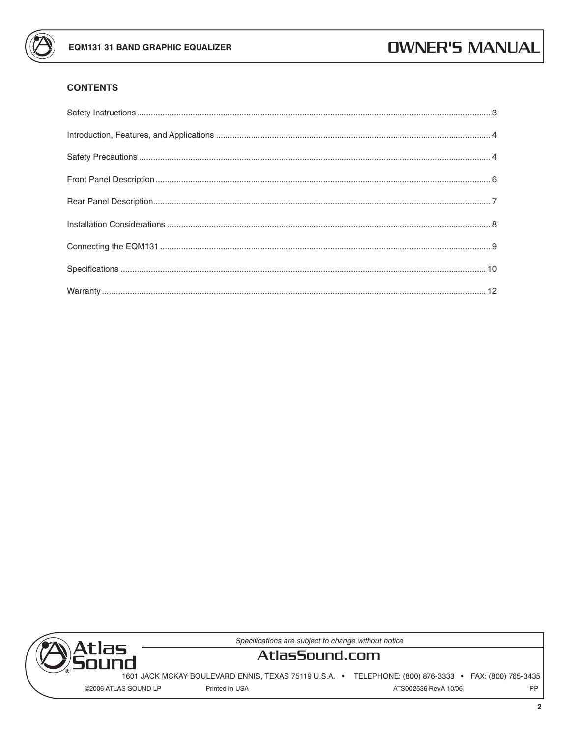

## **CONTENTS**



Specifications are subject to change without notice

# AtlasSound.com

1601 JACK MCKAY BOULEVARD ENNIS, TEXAS 75119 U.S.A. · TELEPHONE: (800) 876-3333 · FAX: (800) 765-3435

©2006 ATLAS SOUND LP

Printed in USA

PP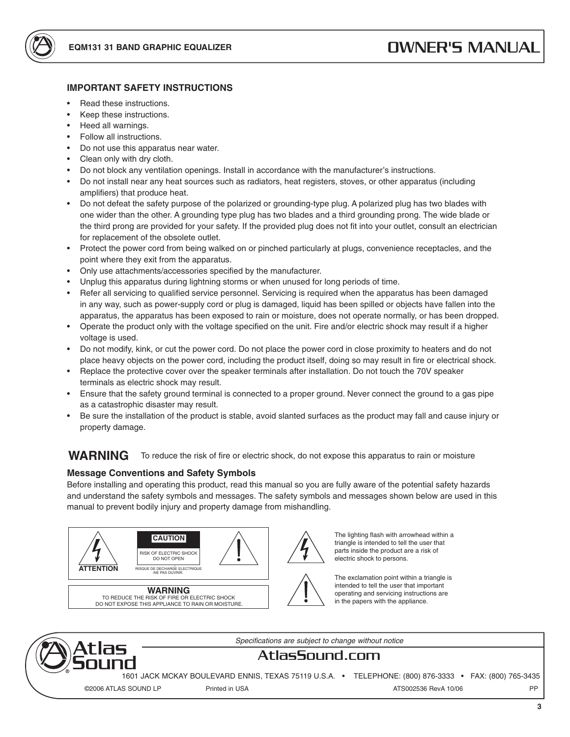

### **IMPORTANT SAFETY INSTRUCTIONS**

- Read these instructions.
- Keep these instructions.
- Heed all warnings.
- Follow all instructions.
- Do not use this apparatus near water.
- Clean only with dry cloth.
- Do not block any ventilation openings. Install in accordance with the manufacturer's instructions.
- Do not install near any heat sources such as radiators, heat registers, stoves, or other apparatus (including amplifiers) that produce heat.
- Do not defeat the safety purpose of the polarized or grounding-type plug. A polarized plug has two blades with one wider than the other. A grounding type plug has two blades and a third grounding prong. The wide blade or the third prong are provided for your safety. If the provided plug does not fit into your outlet, consult an electrician for replacement of the obsolete outlet.
- Protect the power cord from being walked on or pinched particularly at plugs, convenience receptacles, and the point where they exit from the apparatus.
- Only use attachments/accessories specified by the manufacturer.
- Unplug this apparatus during lightning storms or when unused for long periods of time.
- Refer all servicing to qualified service personnel. Servicing is required when the apparatus has been damaged in any way, such as power-supply cord or plug is damaged, liquid has been spilled or objects have fallen into the apparatus, the apparatus has been exposed to rain or moisture, does not operate normally, or has been dropped.
- Operate the product only with the voltage specified on the unit. Fire and/or electric shock may result if a higher voltage is used.
- Do not modify, kink, or cut the power cord. Do not place the power cord in close proximity to heaters and do not place heavy objects on the power cord, including the product itself, doing so may result in fire or electrical shock.
- Replace the protective cover over the speaker terminals after installation. Do not touch the 70V speaker terminals as electric shock may result.
- Ensure that the safety ground terminal is connected to a proper ground. Never connect the ground to a gas pipe as a catastrophic disaster may result.
- Be sure the installation of the product is stable, avoid slanted surfaces as the product may fall and cause injury or property damage.

#### **WARNING** To reduce the risk of fire or electric shock, do not expose this apparatus to rain or moisture

#### **Message Conventions and Safety Symbols**

Before installing and operating this product, read this manual so you are fully aware of the potential safety hazards and understand the safety symbols and messages. The safety symbols and messages shown below are used in this manual to prevent bodily injury and property damage from mishandling.



The lighting flash with arrowhead within a triangle is intended to tell the user that parts inside the product are a risk of electric shock to persons.

The exclamation point within a triangle is intended to tell the user that important operating and servicing instructions are in the papers with the appliance.



Specifications are subject to change without notice

# AtlasSound.com

1601 JACK MCKAY BOULEVARD ENNIS, TEXAS 75119 U.S.A. · TELEPHONE: (800) 876-3333 · FAX: (800) 765-3435 Printed in USA ATS002536 RevA 10/06 PP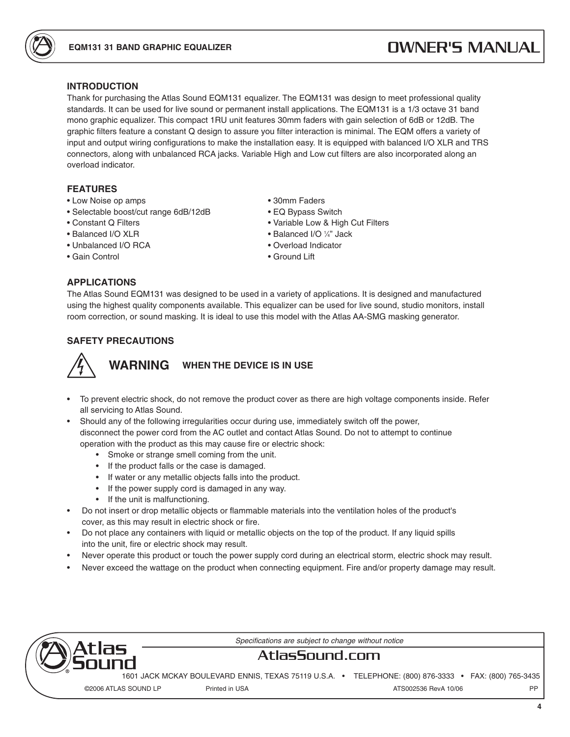### **INTRODUCTION**

Thank for purchasing the Atlas Sound EQM131 equalizer. The EQM131 was design to meet professional quality standards. It can be used for live sound or permanent install applications. The EQM131 is a 1/3 octave 31 band mono graphic equalizer. This compact 1RU unit features 30mm faders with gain selection of 6dB or 12dB. The graphic filters feature a constant Q design to assure you filter interaction is minimal. The EQM offers a variety of input and output wiring configurations to make the installation easy. It is equipped with balanced I/O XLR and TRS connectors, along with unbalanced RCA jacks. Variable High and Low cut filters are also incorporated along an overload indicator.

### **FEATURES**

- Low Noise op amps 30mm Faders
- Selectable boost/cut range 6dB/12dB EQ Bypass Switch
- 
- Balanced I/O XLR Balanced I/O 1
- Unbalanced I/O RCA Overload Indicator
- Gain Control Ground Lift

#### **APPLICATIONS**

- 
- Constant Q Filters Variable Low & High Cut Filters
	- Balanced I/O 1/4" Jack
	-
	-

The Atlas Sound EQM131 was designed to be used in a variety of applications. It is designed and manufactured using the highest quality components available. This equalizer can be used for live sound, studio monitors, install room correction, or sound masking. It is ideal to use this model with the Atlas AA-SMG masking generator.

### **SAFETY PRECAUTIONS**



- To prevent electric shock, do not remove the product cover as there are high voltage components inside. Refer all servicing to Atlas Sound.
- Should any of the following irregularities occur during use, immediately switch off the power, disconnect the power cord from the AC outlet and contact Atlas Sound. Do not to attempt to continue operation with the product as this may cause fire or electric shock:
	- Smoke or strange smell coming from the unit.
	- If the product falls or the case is damaged.
	- If water or any metallic objects falls into the product.
	- If the power supply cord is damaged in any way.
	- If the unit is malfunctioning.
- Do not insert or drop metallic objects or flammable materials into the ventilation holes of the product's cover, as this may result in electric shock or fire.
- Do not place any containers with liquid or metallic objects on the top of the product. If any liquid spills into the unit, fire or electric shock may result.
- Never operate this product or touch the power supply cord during an electrical storm, electric shock may result.
- Never exceed the wattage on the product when connecting equipment. Fire and/or property damage may result.



Specifications are subject to change without notice

### **AtlasSound.com**

1601 JACK MCKAY BOULEVARD ENNIS, TEXAS 75119 U.S.A. • TELEPHONE: (800) 876-3333 • FAX: (800) 765-3435 ©2006 ATLAS SOUND LP Printed in USA ATS002536 RevA 10/06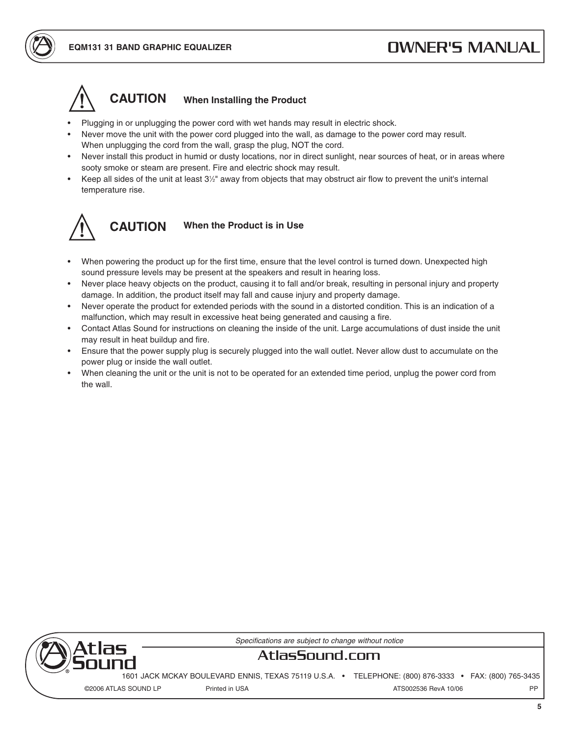

### **When Installing the Product**

- Plugging in or unplugging the power cord with wet hands may result in electric shock.
- Never move the unit with the power cord plugged into the wall, as damage to the power cord may result. When unplugging the cord from the wall, grasp the plug, NOT the cord.
- Never install this product in humid or dusty locations, nor in direct sunlight, near sources of heat, or in areas where sooty smoke or steam are present. Fire and electric shock may result.
- Keep all sides of the unit at least 3<sup>1/2</sup>" away from objects that may obstruct air flow to prevent the unit's internal temperature rise.



#### **When the Product is in Use CAUTION**

- When powering the product up for the first time, ensure that the level control is turned down. Unexpected high sound pressure levels may be present at the speakers and result in hearing loss.
- Never place heavy objects on the product, causing it to fall and/or break, resulting in personal injury and property damage. In addition, the product itself may fall and cause injury and property damage.
- Never operate the product for extended periods with the sound in a distorted condition. This is an indication of a malfunction, which may result in excessive heat being generated and causing a fire.
- Contact Atlas Sound for instructions on cleaning the inside of the unit. Large accumulations of dust inside the unit may result in heat buildup and fire.
- Ensure that the power supply plug is securely plugged into the wall outlet. Never allow dust to accumulate on the power plug or inside the wall outlet.
- When cleaning the unit or the unit is not to be operated for an extended time period, unplug the power cord from the wall.



Specifications are subject to change without notice

# **AtlasSound.com**

1601 JACK MCKAY BOULEVARD ENNIS, TEXAS 75119 U.S.A. • TELEPHONE: (800) 876-3333 • FAX: (800) 765-3435

©2006 ATLAS SOUND LP Printed in USA ATS002536 RevA 10/06 PP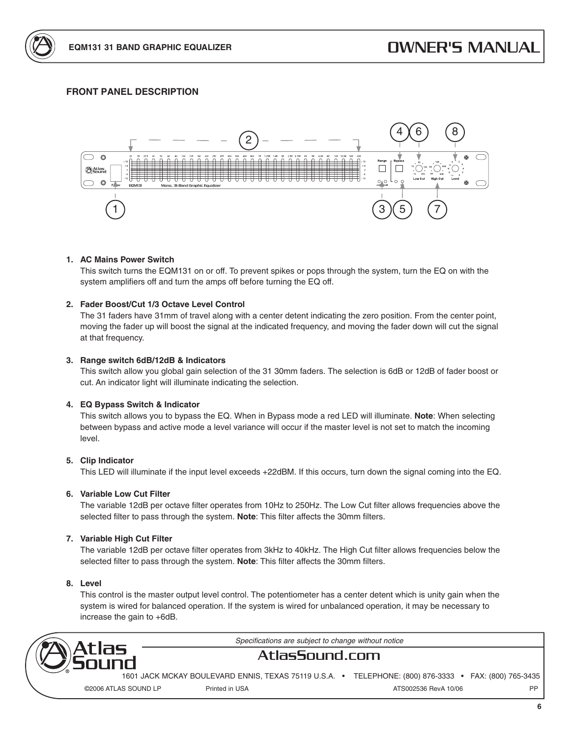

### **FRONT PANEL DESCRIPTION**



#### **1. AC Mains Power Switch**

This switch turns the EQM131 on or off. To prevent spikes or pops through the system, turn the EQ on with the system amplifiers off and turn the amps off before turning the EQ off.

#### **2. Fader Boost/Cut 1/3 Octave Level Control**

The 31 faders have 31mm of travel along with a center detent indicating the zero position. From the center point, moving the fader up will boost the signal at the indicated frequency, and moving the fader down will cut the signal at that frequency.

#### **3. Range switch 6dB/12dB & Indicators**

This switch allow you global gain selection of the 31 30mm faders. The selection is 6dB or 12dB of fader boost or cut. An indicator light will illuminate indicating the selection.

#### **4. EQ Bypass Switch & Indicator**

This switch allows you to bypass the EQ. When in Bypass mode a red LED will illuminate. **Note**: When selecting between bypass and active mode a level variance will occur if the master level is not set to match the incoming level.

#### **5. Clip Indicator**

This LED will illuminate if the input level exceeds +22dBM. If this occurs, turn down the signal coming into the EQ.

#### **6. Variable Low Cut Filter**

The variable 12dB per octave filter operates from 10Hz to 250Hz. The Low Cut filter allows frequencies above the selected filter to pass through the system. **Note**: This filter affects the 30mm filters.

#### **7. Variable High Cut Filter**

The variable 12dB per octave filter operates from 3kHz to 40kHz. The High Cut filter allows frequencies below the selected filter to pass through the system. **Note**: This filter affects the 30mm filters.

#### **8. Level**

This control is the master output level control. The potentiometer has a center detent which is unity gain when the system is wired for balanced operation. If the system is wired for unbalanced operation, it may be necessary to increase the gain to +6dB.



Specifications are subject to change without notice

### **AtlasSound.com**

1601 JACK MCKAY BOULEVARD ENNIS, TEXAS 75119 U.S.A. • TELEPHONE: (800) 876-3333 • FAX: (800) 765-3435 ©2006 ATLAS SOUND LP Printed in USA ATS002536 RevA 10/06 PP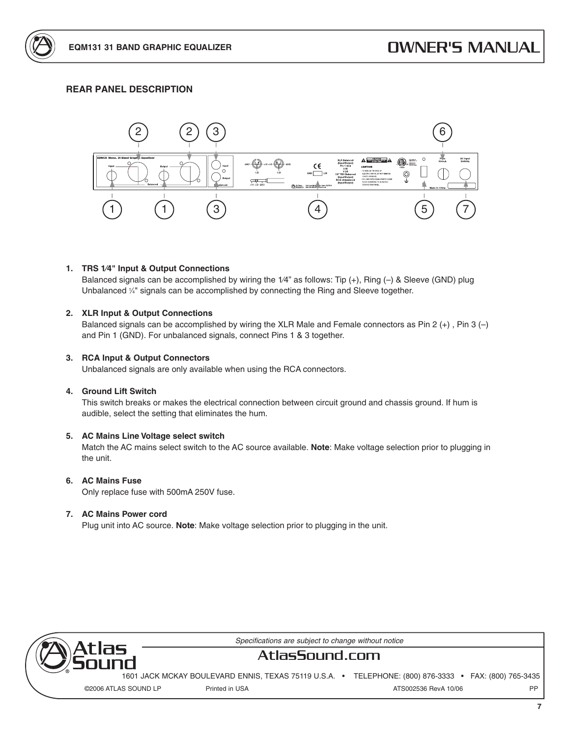### **REAR PANEL DESCRIPTION**



#### **1. TRS 1⁄4" Input & Output Connections**

Balanced signals can be accomplished by wiring the 1⁄4" as follows: Tip (+), Ring (–) & Sleeve (GND) plug Unbalanced  $\frac{1}{4}$ " signals can be accomplished by connecting the Ring and Sleeve together.

#### **2. XLR Input & Output Connections**

Balanced signals can be accomplished by wiring the XLR Male and Female connectors as Pin 2  $(+)$ , Pin 3  $(-)$ and Pin 1 (GND). For unbalanced signals, connect Pins 1 & 3 together.

#### **3. RCA Input & Output Connectors**

Unbalanced signals are only available when using the RCA connectors.

#### **4. Ground Lift Switch**

This switch breaks or makes the electrical connection between circuit ground and chassis ground. If hum is audible, select the setting that eliminates the hum.

#### **5. AC Mains Line Voltage select switch**

Match the AC mains select switch to the AC source available. **Note**: Make voltage selection prior to plugging in the unit.

#### **6. AC Mains Fuse**

Only replace fuse with 500mA 250V fuse.

#### **7. AC Mains Power cord**

Plug unit into AC source. **Note**: Make voltage selection prior to plugging in the unit.



Specifications are subject to change without notice

# **AtlasSound.com**

1601 JACK MCKAY BOULEVARD ENNIS, TEXAS 75119 U.S.A. • TELEPHONE: (800) 876-3333 • FAX: (800) 765-3435 ©2006 ATLAS SOUND LP Printed in USA ATS002536 RevA 10/06

**7**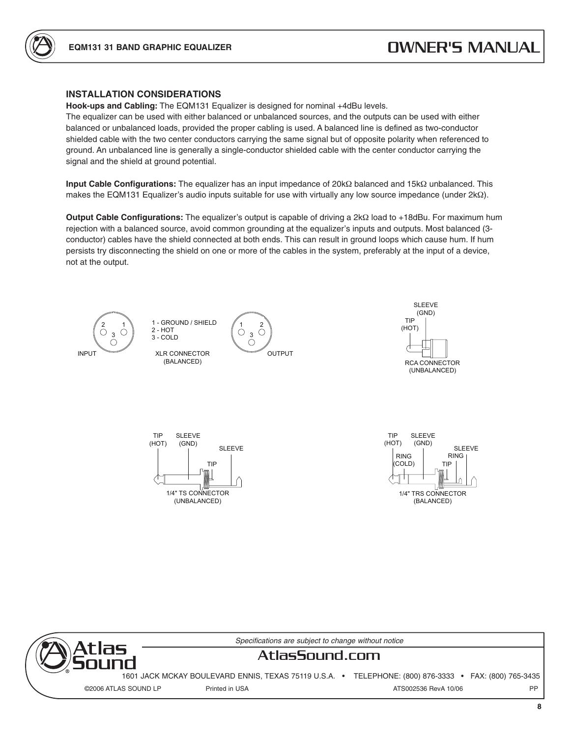

### **INSTALLATION CONSIDERATIONS**

**Hook-ups and Cabling:** The EQM131 Equalizer is designed for nominal +4dBu levels.

The equalizer can be used with either balanced or unbalanced sources, and the outputs can be used with either balanced or unbalanced loads, provided the proper cabling is used. A balanced line is defined as two-conductor shielded cable with the two center conductors carrying the same signal but of opposite polarity when referenced to ground. An unbalanced line is generally a single-conductor shielded cable with the center conductor carrying the signal and the shield at ground potential.

**Input Cable Configurations:** The equalizer has an input impedance of 20kΩ balanced and 15kΩ unbalanced. This makes the EQM131 Equalizer's audio inputs suitable for use with virtually any low source impedance (under 2kΩ).

**Output Cable Configurations:** The equalizer's output is capable of driving a 2kΩ load to +18dBu. For maximum hum rejection with a balanced source, avoid common grounding at the equalizer's inputs and outputs. Most balanced (3 conductor) cables have the shield connected at both ends. This can result in ground loops which cause hum. If hum persists try disconnecting the shield on one or more of the cables in the system, preferably at the input of a device, not at the output.



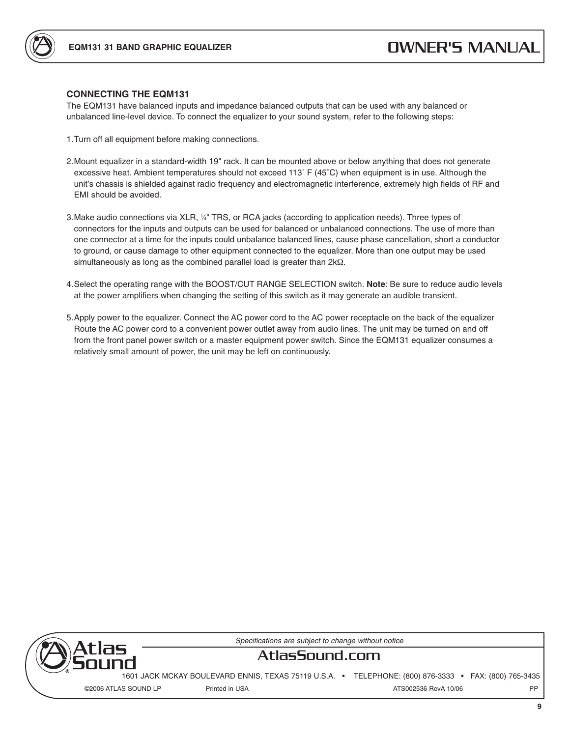



The EQM131 have balanced inputs and impedance balanced outputs that can be used with any balanced or unbalanced line-level device. To connect the equalizer to your sound system, refer to the following steps:

- 1. Turn off all equipment before making connections.
- 2. Mount equalizer in a standard-width 19" rack. It can be mounted above or below anything that does not generate excessive heat. Ambient temperatures should not exceed 113˚ F (45˚C) when equipment is in use. Although the unit's chassis is shielded against radio frequency and electromagnetic interference, extremely high fields of RF and EMI should be avoided.
- 3. Make audio connections via XLR, 1 ⁄4" TRS, or RCA jacks (according to application needs). Three types of connectors for the inputs and outputs can be used for balanced or unbalanced connections. The use of more than one connector at a time for the inputs could unbalance balanced lines, cause phase cancellation, short a conductor to ground, or cause damage to other equipment connected to the equalizer. More than one output may be used simultaneously as long as the combined parallel load is greater than 2kΩ.
- 4. Select the operating range with the BOOST/CUT RANGE SELECTION switch. **Note**: Be sure to reduce audio levels at the power amplifiers when changing the setting of this switch as it may generate an audible transient.
- 5. Apply power to the equalizer. Connect the AC power cord to the AC power receptacle on the back of the equalizer Route the AC power cord to a convenient power outlet away from audio lines. The unit may be turned on and off from the front panel power switch or a master equipment power switch. Since the EQM131 equalizer consumes a relatively small amount of power, the unit may be left on continuously.



Specifications are subject to change without notice

# **AtlasSound.com**

1601 JACK MCKAY BOULEVARD ENNIS, TEXAS 75119 U.S.A. • TELEPHONE: (800) 876-3333 • FAX: (800) 765-3435 ©2006 ATLAS SOUND LP Printed in USA ATS002536 RevA 10/06

**9**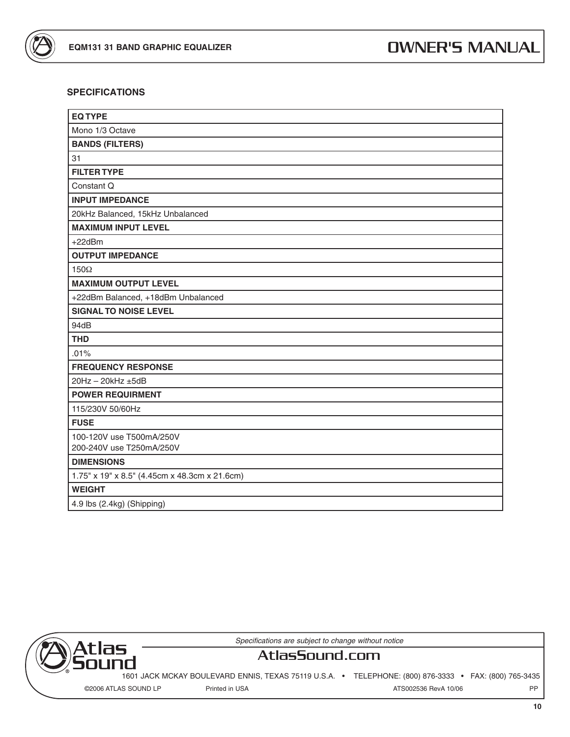

### **SPECIFICATIONS**

| <b>EQ TYPE</b>                                |
|-----------------------------------------------|
| Mono 1/3 Octave                               |
| <b>BANDS (FILTERS)</b>                        |
| 31                                            |
| <b>FILTER TYPE</b>                            |
| Constant Q                                    |
| <b>INPUT IMPEDANCE</b>                        |
| 20kHz Balanced, 15kHz Unbalanced              |
| <b>MAXIMUM INPUT LEVEL</b>                    |
| $+22dBr$                                      |
| <b>OUTPUT IMPEDANCE</b>                       |
| $150\Omega$                                   |
| <b>MAXIMUM OUTPUT LEVEL</b>                   |
| +22dBm Balanced, +18dBm Unbalanced            |
| <b>SIGNAL TO NOISE LEVEL</b>                  |
| 94dB                                          |
| <b>THD</b>                                    |
| .01%                                          |
| <b>FREQUENCY RESPONSE</b>                     |
| 20Hz - 20kHz ±5dB                             |
| <b>POWER REQUIRMENT</b>                       |
| 115/230V 50/60Hz                              |
| <b>FUSE</b>                                   |
| 100-120V use T500mA/250V                      |
| 200-240V use T250mA/250V                      |
| <b>DIMENSIONS</b>                             |
| 1.75" x 19" x 8.5" (4.45cm x 48.3cm x 21.6cm) |
| <b>WEIGHT</b>                                 |
| 4.9 lbs (2.4kg) (Shipping)                    |



Specifications are subject to change without notice

# **AtlasSound.com**

1601 JACK MCKAY BOULEVARD ENNIS, TEXAS 75119 U.S.A. • TELEPHONE: (800) 876-3333 • FAX: (800) 765-3435

©2006 ATLAS SOUND LP Printed in USA ATS002536 RevA 10/06 PP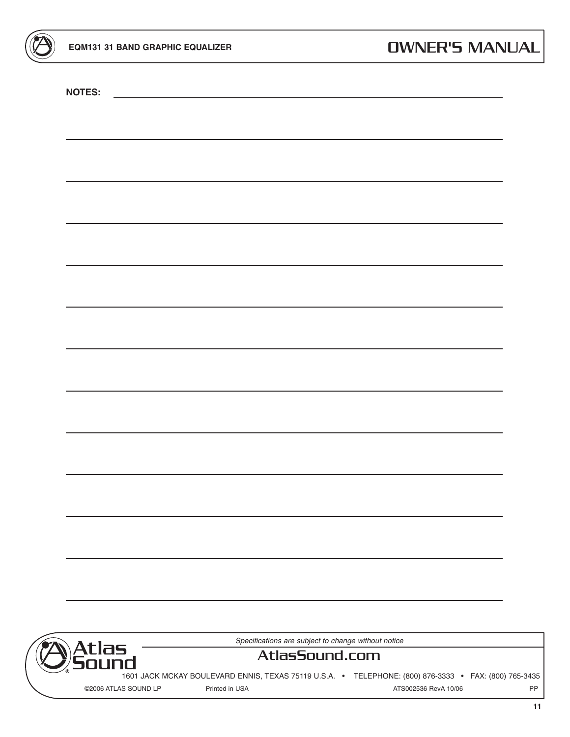**NOTES:**